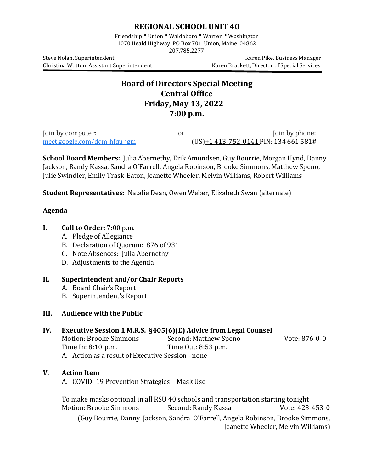## **REGIONAL SCHOOL UNIT 40**

Friendship • Union • Waldoboro • Warren • Washington 1070 Heald Highway, PO Box 701, Union, Maine 04862 207.785.2277

Christina Wotton, Assistant Superintendent

Steve Nolan, Superintendent Karen Pike, Business Manager<br>Christina Wotton, Assistant Superintendent Karen Brackett, Director of Special Services

# **Board of Directors Special Meeting Central Office Friday, May 13, 2022 7:00 p.m.**

Join by computer:  $\frac{1}{2}$  or  $\frac{1}{2}$  Join by phone:  $\frac{1}{2}$  Join by phone:  $\frac{1}{2}$  Join by phone:  $\frac{1}{2}$  Join  $\frac{1}{2}$  Join  $\frac{1}{2}$  Join  $\frac{1}{2}$  Join  $\frac{1}{2}$  Join  $\frac{1}{2}$  Join  $\frac{1}{2}$  Join  $\frac{1}{2}$  J  $(US) + 1413 - 752 - 0141$  PIN: 134 661 581#

**School Board Members:** Julia Abernethy**,** Erik Amundsen, Guy Bourrie, Morgan Hynd, Danny Jackson, Randy Kassa, Sandra O'Farrell, Angela Robinson, Brooke Simmons, Matthew Speno, Julie Swindler, Emily Trask-Eaton, Jeanette Wheeler, Melvin Williams, Robert Williams

**Student Representatives:** Natalie Dean, Owen Weber, Elizabeth Swan (alternate)

#### **Agenda**

- **I. Call to Order:** 7:00 p.m.
	- A. Pledge of Allegiance
	- B. Declaration of Quorum: 876 of 931
	- C. Note Absences: Julia Abernethy
	- D. Adjustments to the Agenda

#### **II. Superintendent and/or Chair Reports**

- A. Board Chair's Report
- B. Superintendent's Report

## **III. Audience with the Public**

## **IV. Executive Session 1 M.R.S. §405(6)(E) Advice from Legal Counsel**

| Motion: Brooke Simmons                            | Second: Matthew Speno | Vote: 876-0-0 |
|---------------------------------------------------|-----------------------|---------------|
| Time In: 8:10 p.m.                                | Time Out: 8:53 p.m.   |               |
| A. Action as a result of Executive Session - none |                       |               |

## **V. Action Item**

A. COVID–19 Prevention Strategies – Mask Use

To make masks optional in all RSU 40 schools and transportation starting tonight Motion: Brooke Simmons (Guy Bourrie, Danny Jackson, Sandra O'Farrell, Angela Robinson, Brooke Simmons, Jeanette Wheeler, Melvin Williams)